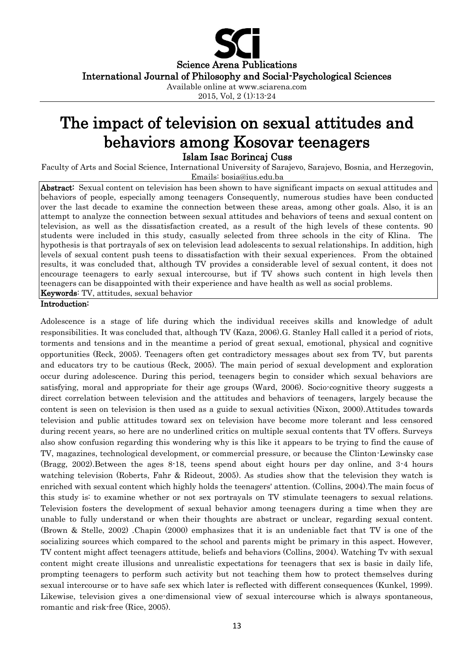Science Arena Publications International Journal of Philosophy and Social-Psychological Sciences Available online at www.sciarena.com

2015, Vol, 2 (1):13-24

# The impact of television on sexual attitudes and behaviors among Kosovar teenagers Islam Isac Borincaj Cuss

Faculty of Arts and Social Science, International University of Sarajevo, Sarajevo, Bosnia, and Herzegovin, Emails: bosia@ius.edu.ba

Abstract: Sexual content on television has been shown to have significant impacts on sexual attitudes and behaviors of people, especially among teenagers Consequently, numerous studies have been conducted over the last decade to examine the connection between these areas, among other goals. Also, it is an attempt to analyze the connection between sexual attitudes and behaviors of teens and sexual content on television, as well as the dissatisfaction created, as a result of the high levels of these contents. 90 students were included in this study, casually selected from three schools in the city of Klina. The hypothesis is that portrayals of sex on television lead adolescents to sexual relationships. In addition, high levels of sexual content push teens to dissatisfaction with their sexual experiences. From the obtained results, it was concluded that, although TV provides a considerable level of sexual content, it does not encourage teenagers to early sexual intercourse, but if TV shows such content in high levels then teenagers can be disappointed with their experience and have health as well as social problems. Keywords: TV, attitudes, sexual behavior

#### Introduction:

Adolescence is a stage of life during which the individual receives skills and knowledge of adult responsibilities. It was concluded that, although TV (Kaza, 2006).G. Stanley Hall called it a period of riots, torments and tensions and in the meantime a period of great sexual, emotional, physical and cognitive opportunities (Reck, 2005). Teenagers often get contradictory messages about sex from TV, but parents and educators try to be cautious (Reck, 2005). The main period of sexual development and exploration occur during adolescence. During this period, teenagers begin to consider which sexual behaviors are satisfying, moral and appropriate for their age groups (Ward, 2006). Socio-cognitive theory suggests a direct correlation between television and the attitudes and behaviors of teenagers, largely because the content is seen on television is then used as a guide to sexual activities (Nixon, 2000).Attitudes towards television and public attitudes toward sex on television have become more tolerant and less censored during recent years, so here are no underlined critics on multiple sexual contents that TV offers. Surveys also show confusion regarding this wondering why is this like it appears to be trying to find the cause of TV, magazines, technological development, or commercial pressure, or because the Clinton-Lewinsky case (Bragg, 2002).Between the ages 8-18, teens spend about eight hours per day online, and 3-4 hours watching television (Roberts, Fahr & Rideout, 2005). As studies show that the television they watch is enriched with sexual content which highly holds the teenagers' attention. (Collins, 2004).The main focus of this study is: to examine whether or not sex portrayals on TV stimulate teenagers to sexual relations. Television fosters the development of sexual behavior among teenagers during a time when they are unable to fully understand or when their thoughts are abstract or unclear, regarding sexual content. (Brown & Stelle, 2002) .Chapin (2000) emphasizes that it is an undeniable fact that TV is one of the socializing sources which compared to the school and parents might be primary in this aspect. However, TV content might affect teenagers attitude, beliefs and behaviors (Collins, 2004). Watching Tv with sexual content might create illusions and unrealistic expectations for teenagers that sex is basic in daily life, prompting teenagers to perform such activity but not teaching them how to protect themselves during sexual intercourse or to have safe sex which later is reflected with different consequences (Kunkel, 1999). Likewise, television gives a one-dimensional view of sexual intercourse which is always spontaneous, romantic and risk-free (Rice, 2005).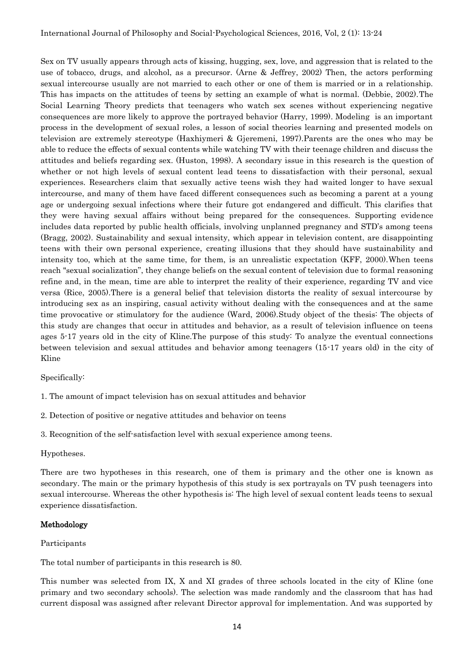Sex on TV usually appears through acts of kissing, hugging, sex, love, and aggression that is related to the use of tobacco, drugs, and alcohol, as a precursor. (Arne & Jeffrey, 2002) Then, the actors performing sexual intercourse usually are not married to each other or one of them is married or in a relationship. This has impacts on the attitudes of teens by setting an example of what is normal. (Debbie, 2002).The Social Learning Theory predicts that teenagers who watch sex scenes without experiencing negative consequences are more likely to approve the portrayed behavior (Harry, 1999). Modeling is an important process in the development of sexual roles, a lesson of social theories learning and presented models on television are extremely stereotype (Haxhiymeri & Gjeremeni, 1997).Parents are the ones who may be able to reduce the effects of sexual contents while watching TV with their teenage children and discuss the attitudes and beliefs regarding sex. (Huston, 1998). A secondary issue in this research is the question of whether or not high levels of sexual content lead teens to dissatisfaction with their personal, sexual experiences. Researchers claim that sexually active teens wish they had waited longer to have sexual intercourse, and many of them have faced different consequences such as becoming a parent at a young age or undergoing sexual infections where their future got endangered and difficult. This clarifies that they were having sexual affairs without being prepared for the consequences. Supporting evidence includes data reported by public health officials, involving unplanned pregnancy and STD's among teens (Bragg, 2002). Sustainability and sexual intensity, which appear in television content, are disappointing teens with their own personal experience, creating illusions that they should have sustainability and intensity too, which at the same time, for them, is an unrealistic expectation (KFF, 2000).When teens reach "sexual socialization", they change beliefs on the sexual content of television due to formal reasoning refine and, in the mean, time are able to interpret the reality of their experience, regarding TV and vice versa (Rice, 2005).There is a general belief that television distorts the reality of sexual intercourse by introducing sex as an inspiring, casual activity without dealing with the consequences and at the same time provocative or stimulatory for the audience (Ward, 2006).Study object of the thesis: The objects of this study are changes that occur in attitudes and behavior, as a result of television influence on teens ages 5-17 years old in the city of Kline.The purpose of this study: To analyze the eventual connections between television and sexual attitudes and behavior among teenagers (15-17 years old) in the city of Kline

Specifically:

- 1. The amount of impact television has on sexual attitudes and behavior
- 2. Detection of positive or negative attitudes and behavior on teens
- 3. Recognition of the self-satisfaction level with sexual experience among teens.

#### Hypotheses.

There are two hypotheses in this research, one of them is primary and the other one is known as secondary. The main or the primary hypothesis of this study is sex portrayals on TV push teenagers into sexual intercourse. Whereas the other hypothesis is: The high level of sexual content leads teens to sexual experience dissatisfaction.

#### Methodology

#### Participants

The total number of participants in this research is 80.

This number was selected from IX, X and XI grades of three schools located in the city of Kline (one primary and two secondary schools). The selection was made randomly and the classroom that has had current disposal was assigned after relevant Director approval for implementation. And was supported by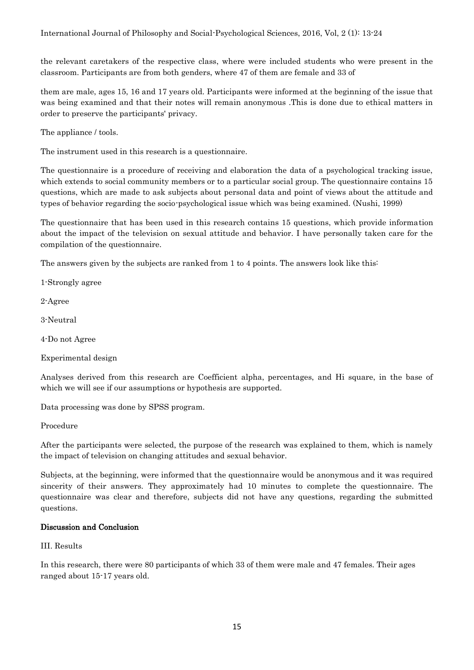the relevant caretakers of the respective class, where were included students who were present in the classroom. Participants are from both genders, where 47 of them are female and 33 of

them are male, ages 15, 16 and 17 years old. Participants were informed at the beginning of the issue that was being examined and that their notes will remain anonymous .This is done due to ethical matters in order to preserve the participants' privacy.

The appliance / tools.

The instrument used in this research is a questionnaire.

The questionnaire is a procedure of receiving and elaboration the data of a psychological tracking issue, which extends to social community members or to a particular social group. The questionnaire contains 15 questions, which are made to ask subjects about personal data and point of views about the attitude and types of behavior regarding the socio-psychological issue which was being examined. (Nushi, 1999)

The questionnaire that has been used in this research contains 15 questions, which provide information about the impact of the television on sexual attitude and behavior. I have personally taken care for the compilation of the questionnaire.

The answers given by the subjects are ranked from 1 to 4 points. The answers look like this:

1-Strongly agree

2-Agree

3-Neutral

4-Do not Agree

Experimental design

Analyses derived from this research are Coefficient alpha, percentages, and Hi square, in the base of which we will see if our assumptions or hypothesis are supported.

Data processing was done by SPSS program.

Procedure

After the participants were selected, the purpose of the research was explained to them, which is namely the impact of television on changing attitudes and sexual behavior.

Subjects, at the beginning, were informed that the questionnaire would be anonymous and it was required sincerity of their answers. They approximately had 10 minutes to complete the questionnaire. The questionnaire was clear and therefore, subjects did not have any questions, regarding the submitted questions.

#### Discussion and Conclusion

III. Results

In this research, there were 80 participants of which 33 of them were male and 47 females. Their ages ranged about 15-17 years old.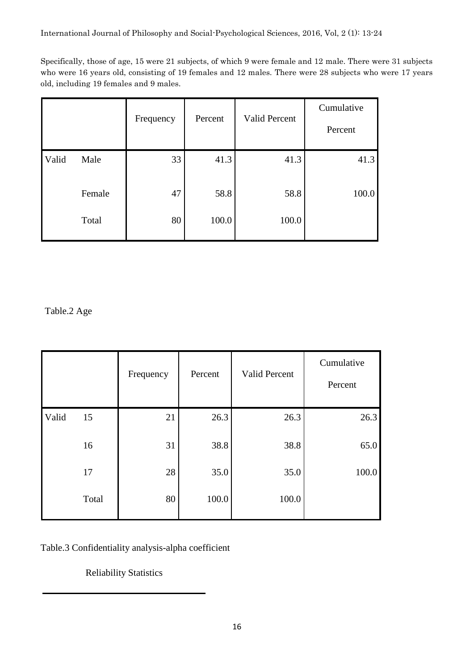Specifically, those of age, 15 were 21 subjects, of which 9 were female and 12 male. There were 31 subjects who were 16 years old, consisting of 19 females and 12 males. There were 28 subjects who were 17 years old, including 19 females and 9 males.

|       |        | Frequency | Percent | <b>Valid Percent</b> | Cumulative<br>Percent |
|-------|--------|-----------|---------|----------------------|-----------------------|
| Valid | Male   | 33        | 41.3    | 41.3                 | 41.3                  |
|       | Female | 47        | 58.8    | 58.8                 | 100.0                 |
|       | Total  | 80        | 100.0   | 100.0                |                       |

Table.2 Age

|       |       | Frequency | Percent | Valid Percent | Cumulative<br>Percent |
|-------|-------|-----------|---------|---------------|-----------------------|
| Valid | 15    | 21        | 26.3    | 26.3          | 26.3                  |
|       | 16    | 31        | 38.8    | 38.8          | 65.0                  |
|       | 17    | 28        | 35.0    | 35.0          | 100.0                 |
|       | Total | 80        | 100.0   | 100.0         |                       |

Table.3 Confidentiality analysis-alpha coefficient

Reliability Statistics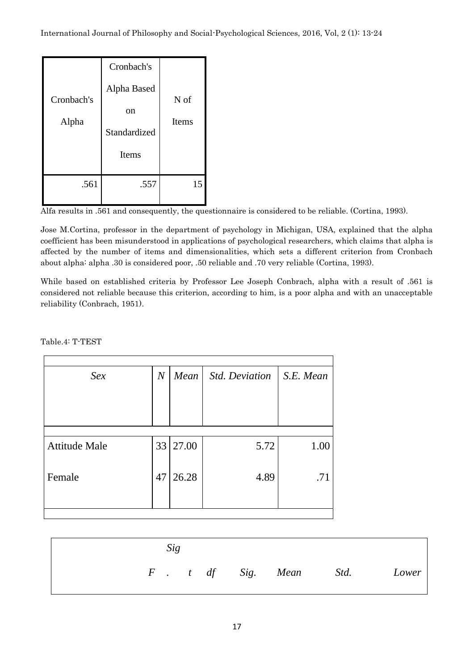| Cronbach's<br>Alpha | Cronbach's<br>Alpha Based<br>on<br>Standardized<br>Items | N of<br><b>Items</b> |
|---------------------|----------------------------------------------------------|----------------------|
| .561                | .557                                                     | 15                   |

Alfa results in .561 and consequently, the questionnaire is considered to be reliable. (Cortina, 1993).

Jose M.Cortina, professor in the department of psychology in Michigan, USA, explained that the alpha coefficient has been misunderstood in applications of psychological researchers, which claims that alpha is affected by the number of items and dimensionalities, which sets a different criterion from Cronbach about alpha: alpha .30 is considered poor, .50 reliable and .70 very reliable (Cortina, 1993).

While based on established criteria by Professor Lee Joseph Conbrach, alpha with a result of .561 is considered not reliable because this criterion, according to him, is a poor alpha and with an unacceptable reliability (Conbrach, 1951).

Table.4: T-TEST

| Sex                  | $\overline{N}$ | Mean     | <b>Std. Deviation</b> | S.E. Mean |
|----------------------|----------------|----------|-----------------------|-----------|
|                      |                |          |                       |           |
|                      |                |          |                       |           |
|                      |                |          |                       |           |
| <b>Attitude Male</b> |                | 33 27.00 | 5.72                  | 1.00      |
| Female               | 47             | 26.28    | 4.89                  | .71       |
|                      |                |          |                       |           |

| Sig |  |                        |       |
|-----|--|------------------------|-------|
|     |  | F. t df Sig. Mean Std. | Lower |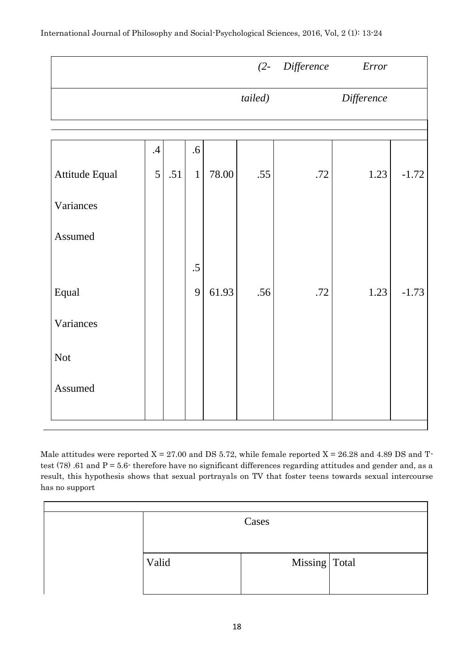|                |                 |     |              |       |         | (2- Difference Error |            |         |
|----------------|-----------------|-----|--------------|-------|---------|----------------------|------------|---------|
|                |                 |     |              |       | tailed) |                      | Difference |         |
|                |                 |     |              |       |         |                      |            |         |
|                |                 |     |              |       |         |                      |            |         |
|                | $.4\,$          |     | $.6\,$       |       |         |                      |            |         |
| Attitude Equal | $5\overline{)}$ | .51 | $\mathbf{1}$ | 78.00 | .55     | .72                  | 1.23       | $-1.72$ |
| Variances      |                 |     |              |       |         |                      |            |         |
| Assumed        |                 |     |              |       |         |                      |            |         |
|                |                 |     | $.5\,$       |       |         |                      |            |         |
| Equal          |                 |     | 9            | 61.93 | .56     | .72                  | 1.23       | $-1.73$ |
| Variances      |                 |     |              |       |         |                      |            |         |
| <b>Not</b>     |                 |     |              |       |         |                      |            |         |
| Assumed        |                 |     |              |       |         |                      |            |         |
|                |                 |     |              |       |         |                      |            |         |

Male attitudes were reported  $X = 27.00$  and DS 5.72, while female reported  $X = 26.28$  and 4.89 DS and Ttest (78) .61 and P = 5.6- therefore have no significant differences regarding attitudes and gender and, as a result, this hypothesis shows that sexual portrayals on TV that foster teens towards sexual intercourse has no support

|       | Cases           |  |
|-------|-----------------|--|
| Valid | Missing   Total |  |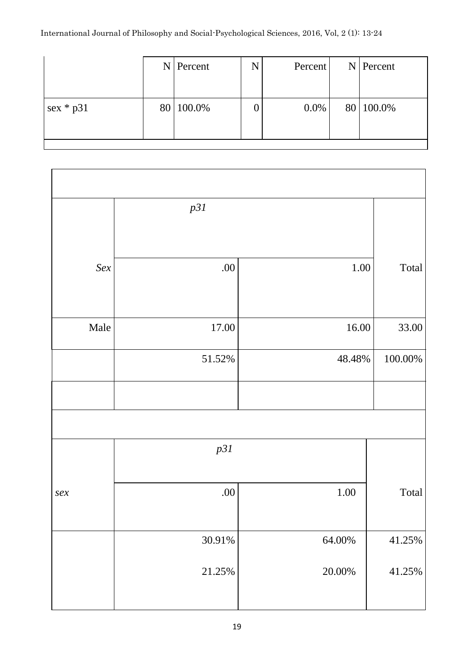### International Journal of Philosophy and Social-Psychological Sciences, 2016, Vol, 2 (1): 13-24

|             | $N$ Percent | N | Percent |  | $N$ Percent |
|-------------|-------------|---|---------|--|-------------|
|             |             |   |         |  |             |
| $sex * p31$ | 80 100.0%   |   | $0.0\%$ |  | 80 100.0%   |
|             |             |   |         |  |             |
|             |             |   |         |  |             |

|                | p31       |           |            |
|----------------|-----------|-----------|------------|
|                |           |           |            |
| Sex            | .00       | 1.00      | Total      |
|                |           |           |            |
| Male           | $17.00\,$ | 16.00     | 33.00      |
|                | $51.52\%$ | 48.48%    | $100.00\%$ |
|                |           |           |            |
|                |           |           |            |
|                | p31       |           |            |
|                |           |           |            |
| $\mathit{sex}$ | .00       | $1.00\,$  | Total      |
|                |           |           |            |
|                | $30.91\%$ | $64.00\%$ | 41.25%     |
|                | $21.25\%$ | $20.00\%$ | 41.25%     |
|                |           |           |            |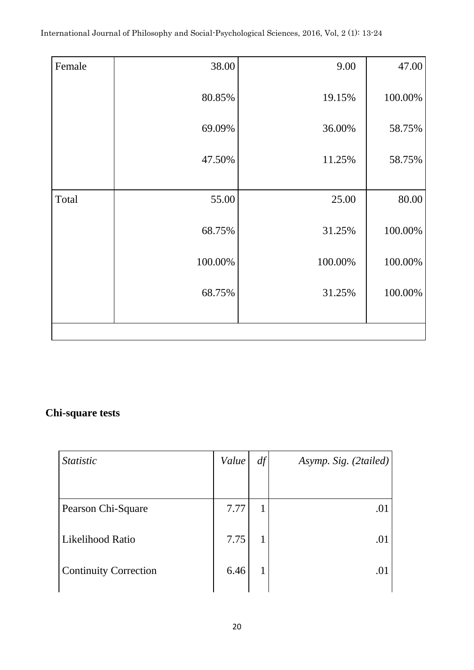| Female | 38.00   | 9.00    | 47.00   |
|--------|---------|---------|---------|
|        | 80.85%  | 19.15%  | 100.00% |
|        | 69.09%  | 36.00%  | 58.75%  |
|        | 47.50%  | 11.25%  | 58.75%  |
|        |         |         |         |
| Total  | 55.00   | 25.00   | 80.00   |
|        | 68.75%  | 31.25%  | 100.00% |
|        | 100.00% | 100.00% | 100.00% |
|        | 68.75%  | 31.25%  | 100.00% |
|        |         |         |         |
|        |         |         |         |

## **Chi-square tests**

| <b>Statistic</b>             | Value | df | Asymp. Sig. (2tailed) |
|------------------------------|-------|----|-----------------------|
|                              |       |    |                       |
| Pearson Chi-Square           | 7.77  | 1  | .01                   |
| Likelihood Ratio             | 7.75  |    | .01                   |
| <b>Continuity Correction</b> | 6.46  |    | .01                   |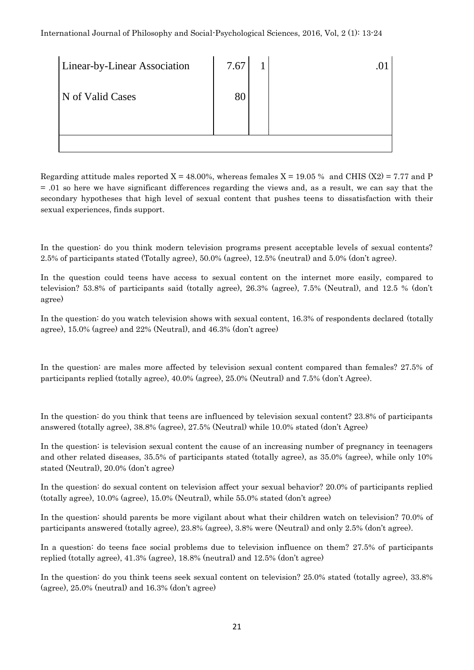| Linear-by-Linear Association | 7.67 |  |
|------------------------------|------|--|
| N of Valid Cases             | 80   |  |
|                              |      |  |
|                              |      |  |

Regarding attitude males reported  $X = 48.00\%$ , whereas females  $X = 19.05\%$  and CHIS (X2) = 7.77 and P  $= .01$  so here we have significant differences regarding the views and, as a result, we can say that the secondary hypotheses that high level of sexual content that pushes teens to dissatisfaction with their sexual experiences, finds support.

In the question: do you think modern television programs present acceptable levels of sexual contents? 2.5% of participants stated (Totally agree), 50.0% (agree), 12.5% (neutral) and 5.0% (don't agree).

In the question could teens have access to sexual content on the internet more easily, compared to television? 53.8% of participants said (totally agree), 26.3% (agree), 7.5% (Neutral), and 12.5 % (don't agree)

In the question: do you watch television shows with sexual content, 16.3% of respondents declared (totally agree), 15.0% (agree) and 22% (Neutral), and 46.3% (don't agree)

In the question: are males more affected by television sexual content compared than females? 27.5% of participants replied (totally agree), 40.0% (agree), 25.0% (Neutral) and 7.5% (don't Agree).

In the question: do you think that teens are influenced by television sexual content? 23.8% of participants answered (totally agree), 38.8% (agree), 27.5% (Neutral) while 10.0% stated (don't Agree)

In the question: is television sexual content the cause of an increasing number of pregnancy in teenagers and other related diseases, 35.5% of participants stated (totally agree), as 35.0% (agree), while only 10% stated (Neutral), 20.0% (don't agree)

In the question: do sexual content on television affect your sexual behavior? 20.0% of participants replied (totally agree), 10.0% (agree), 15.0% (Neutral), while 55.0% stated (don't agree)

In the question: should parents be more vigilant about what their children watch on television? 70.0% of participants answered (totally agree), 23.8% (agree), 3.8% were (Neutral) and only 2.5% (don't agree).

In a question: do teens face social problems due to television influence on them? 27.5% of participants replied (totally agree), 41.3% (agree), 18.8% (neutral) and 12.5% (don't agree)

In the question: do you think teens seek sexual content on television? 25.0% stated (totally agree), 33.8% (agree), 25.0% (neutral) and 16.3% (don't agree)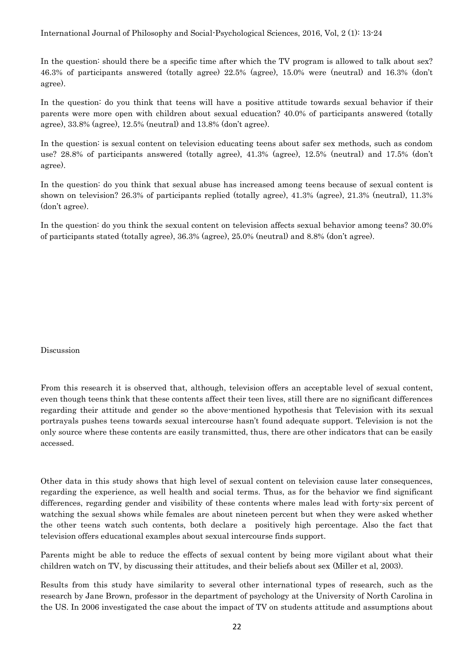International Journal of Philosophy and Social-Psychological Sciences, 2016, Vol, 2 (1): 13-24

In the question: should there be a specific time after which the TV program is allowed to talk about sex? 46.3% of participants answered (totally agree) 22.5% (agree), 15.0% were (neutral) and 16.3% (don't agree).

In the question: do you think that teens will have a positive attitude towards sexual behavior if their parents were more open with children about sexual education? 40.0% of participants answered (totally agree), 33.8% (agree), 12.5% (neutral) and 13.8% (don't agree).

In the question: is sexual content on television educating teens about safer sex methods, such as condom use? 28.8% of participants answered (totally agree), 41.3% (agree), 12.5% (neutral) and 17.5% (don't agree).

In the question: do you think that sexual abuse has increased among teens because of sexual content is shown on television? 26.3% of participants replied (totally agree), 41.3% (agree), 21.3% (neutral), 11.3% (don't agree).

In the question: do you think the sexual content on television affects sexual behavior among teens? 30.0% of participants stated (totally agree), 36.3% (agree), 25.0% (neutral) and 8.8% (don't agree).

Discussion

From this research it is observed that, although, television offers an acceptable level of sexual content, even though teens think that these contents affect their teen lives, still there are no significant differences regarding their attitude and gender so the above-mentioned hypothesis that Television with its sexual portrayals pushes teens towards sexual intercourse hasn't found adequate support. Television is not the only source where these contents are easily transmitted, thus, there are other indicators that can be easily accessed.

Other data in this study shows that high level of sexual content on television cause later consequences, regarding the experience, as well health and social terms. Thus, as for the behavior we find significant differences, regarding gender and visibility of these contents where males lead with forty-six percent of watching the sexual shows while females are about nineteen percent but when they were asked whether the other teens watch such contents, both declare a positively high percentage. Also the fact that television offers educational examples about sexual intercourse finds support.

Parents might be able to reduce the effects of sexual content by being more vigilant about what their children watch on TV, by discussing their attitudes, and their beliefs about sex (Miller et al, 2003).

Results from this study have similarity to several other international types of research, such as the research by Jane Brown, professor in the department of psychology at the University of North Carolina in the US. In 2006 investigated the case about the impact of TV on students attitude and assumptions about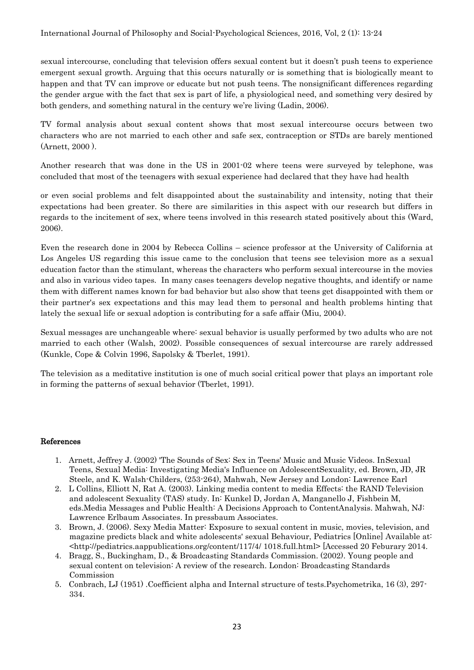sexual intercourse, concluding that television offers sexual content but it doesn't push teens to experience emergent sexual growth. Arguing that this occurs naturally or is something that is biologically meant to happen and that TV can improve or educate but not push teens. The nonsignificant differences regarding the gender argue with the fact that sex is part of life, a physiological need, and something very desired by both genders, and something natural in the century we're living (Ladin, 2006).

TV formal analysis about sexual content shows that most sexual intercourse occurs between two characters who are not married to each other and safe sex, contraception or STDs are barely mentioned (Arnett, 2000 ).

Another research that was done in the US in 2001-02 where teens were surveyed by telephone, was concluded that most of the teenagers with sexual experience had declared that they have had health

or even social problems and felt disappointed about the sustainability and intensity, noting that their expectations had been greater. So there are similarities in this aspect with our research but differs in regards to the incitement of sex, where teens involved in this research stated positively about this (Ward, 2006).

Even the research done in 2004 by Rebecca Collins – science professor at the University of California at Los Angeles US regarding this issue came to the conclusion that teens see television more as a sexual education factor than the stimulant, whereas the characters who perform sexual intercourse in the movies and also in various video tapes. In many cases teenagers develop negative thoughts, and identify or name them with different names known for bad behavior but also show that teens get disappointed with them or their partner's sex expectations and this may lead them to personal and health problems hinting that lately the sexual life or sexual adoption is contributing for a safe affair (Miu, 2004).

Sexual messages are unchangeable where: sexual behavior is usually performed by two adults who are not married to each other (Walsh, 2002). Possible consequences of sexual intercourse are rarely addressed (Kunkle, Cope & Colvin 1996, Sapolsky & Tberlet, 1991).

The television as a meditative institution is one of much social critical power that plays an important role in forming the patterns of sexual behavior (Tberlet, 1991).

#### References

- 1. Arnett, Jeffrey J. (2002) 'The Sounds of Sex: Sex in Teens' Music and Music Videos. InSexual Teens, Sexual Media: Investigating Media's Influence on AdolescentSexuality, ed. Brown, JD, JR Steele, and K. Walsh-Childers, (253-264), Mahwah, New Jersey and London: Lawrence Earl
- 2. L Collins, Elliott N, Rat A. (2003). Linking media content to media Effects: the RAND Television and adolescent Sexuality (TAS) study. In: Kunkel D, Jordan A, Manganello J, Fishbein M, eds.Media Messages and Public Health: A Decisions Approach to ContentAnalysis. Mahwah, NJ: Lawrence Erlbaum Associates. In pressbaum Associates.
- 3. Brown, J. (2006). Sexy Media Matter: Exposure to sexual content in music, movies, television, and magazine predicts black and white adolescents' sexual Behaviour, Pediatrics [Online] Available at: <http://pediatrics.aappublications.org/content/117/4/ 1018.full.html> [Accessed 20 Feburary 2014.
- 4. Bragg, S., Buckingham, D., & Broadcasting Standards Commission. (2002). Young people and sexual content on television: A review of the research. London: Broadcasting Standards Commission
- 5. Conbrach, LJ (1951) .Coefficient alpha and Internal structure of tests.Psychometrika, 16 (3), 297- 334.